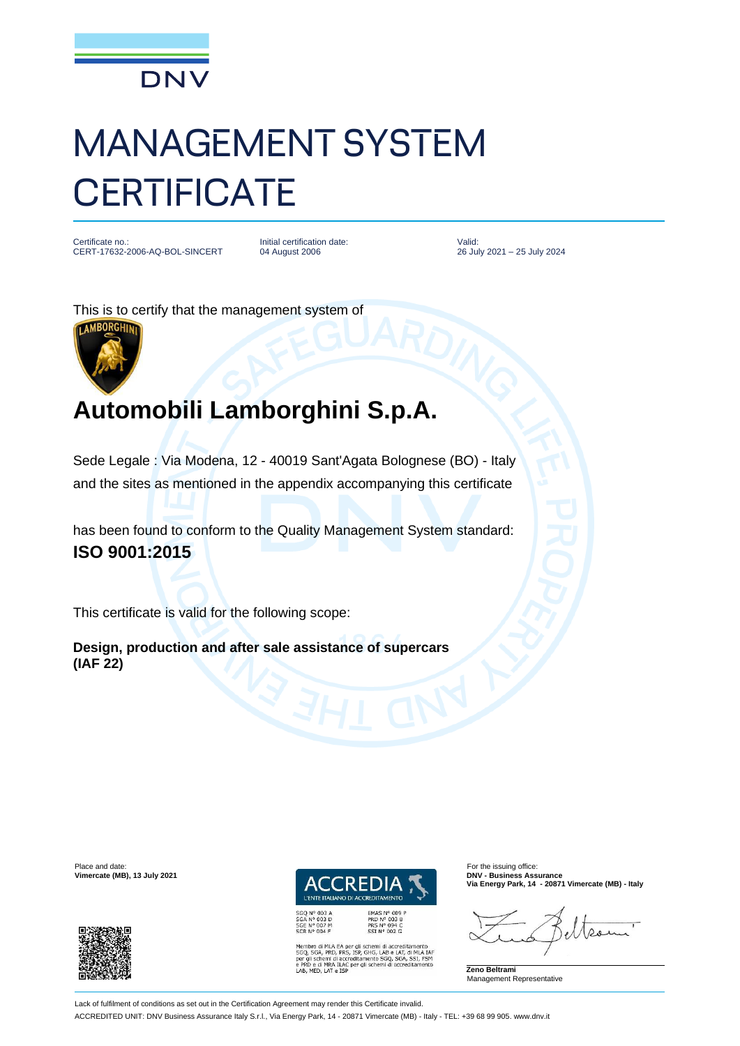

## MANAGEMENT SYSTEM **CERTIFICATE**

Certificate no.: CERT-17632-2006-AQ-BOL-SINCERT Initial certification date: 04 August 2006

Valid: 26 July 2021 – 25 July 2024

This is to certify that the management system of



## **Automobili Lamborghini S.p.A.**

Sede Legale : Via Modena, 12 - 40019 Sant'Agata Bolognese (BO) - Italy and the sites as mentioned in the appendix accompanying this certificate

has been found to conform to the Quality Management System standard: **ISO 9001:2015**

This certificate is valid for the following scope:

**Design, production and after sale assistance of supercars (IAF 22)**

Place and date: For the issuing office: **Vimercate (MB), 13 July 2021** 



EMAS N° 009 P<br>PRD N° 003 B<br>PRS N° 094 C<br>SSI N° 002 G

Membro di MLA EA per gli schemi di accreditamento<br>SGQ, SGA, PRD, PRS, ISP, GHG, LAB e LAT, di MLA IAF<br>per gli schemi di accreditamento SGQ, SGA, SSI, FSM<br>e PRD e di MRA ILAC eggi schemi di accreditamento<br>LAB, MED, LAT e IS

**Via Energy Park, 14 - 20871 Vimercate (MB) - Italy**

 $28$ 

**Zeno Beltrami** Management Representative

Lack of fulfilment of conditions as set out in the Certification Agreement may render this Certificate invalid.

ACCREDITED UNIT: DNV Business Assurance Italy S.r.l., Via Energy Park, 14 - 20871 Vimercate (MB) - Italy - TEL: +39 68 99 905. www.dnv.it